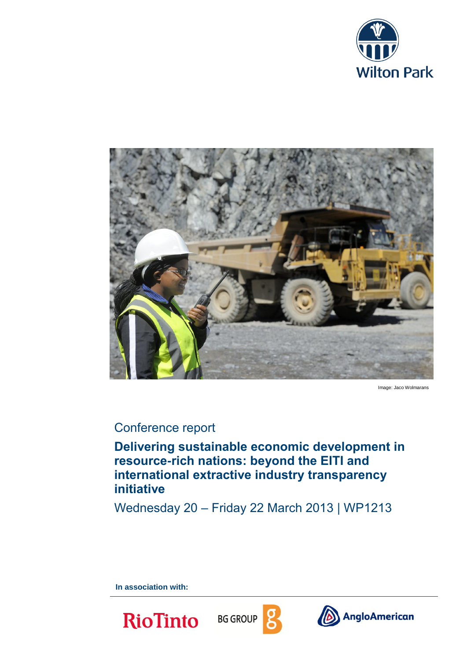



Image: Jaco Wolmarans

# Conference report

**Delivering sustainable economic development in resource-rich nations: beyond the EITI and international extractive industry transparency initiative**

Wednesday 20 – Friday 22 March 2013 | WP1213

**In association with:**

**RioTinto** 





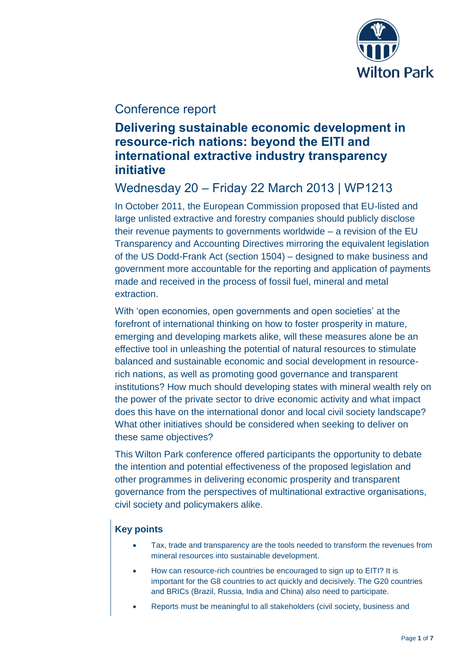

# Conference report

# **Delivering sustainable economic development in resource-rich nations: beyond the EITI and international extractive industry transparency initiative**

# Wednesday 20 – Friday 22 March 2013 | WP1213

In October 2011, the European Commission proposed that EU-listed and large unlisted extractive and forestry companies should publicly disclose their revenue payments to governments worldwide – a revision of the EU Transparency and Accounting Directives mirroring the equivalent legislation of the US Dodd-Frank Act (section 1504) – designed to make business and government more accountable for the reporting and application of payments made and received in the process of fossil fuel, mineral and metal extraction.

With 'open economies, open governments and open societies' at the forefront of international thinking on how to foster prosperity in mature, emerging and developing markets alike, will these measures alone be an effective tool in unleashing the potential of natural resources to stimulate balanced and sustainable economic and social development in resourcerich nations, as well as promoting good governance and transparent institutions? How much should developing states with mineral wealth rely on the power of the private sector to drive economic activity and what impact does this have on the international donor and local civil society landscape? What other initiatives should be considered when seeking to deliver on these same objectives?

This Wilton Park conference offered participants the opportunity to debate the intention and potential effectiveness of the proposed legislation and other programmes in delivering economic prosperity and transparent governance from the perspectives of multinational extractive organisations, civil society and policymakers alike.

### **Key points**

- Tax, trade and transparency are the tools needed to transform the revenues from mineral resources into sustainable development.
- How can resource-rich countries be encouraged to sign up to EITI? It is important for the G8 countries to act quickly and decisively. The G20 countries and BRICs (Brazil, Russia, India and China) also need to participate.
- Reports must be meaningful to all stakeholders (civil society, business and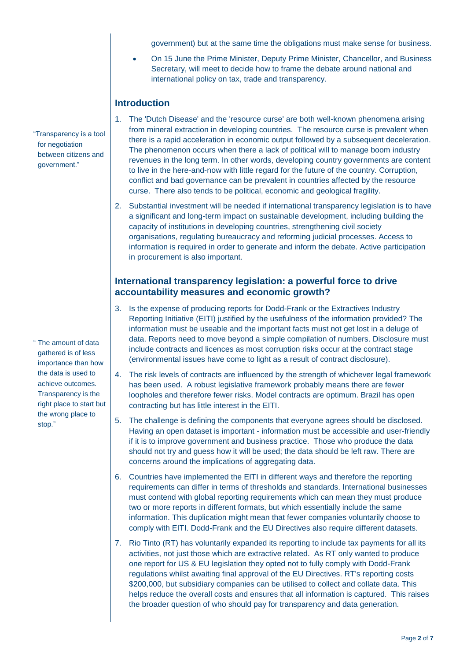government) but at the same time the obligations must make sense for business.

 On 15 June the Prime Minister, Deputy Prime Minister, Chancellor, and Business Secretary, will meet to decide how to frame the debate around national and international policy on tax, trade and transparency.

### **Introduction**

- 1. The 'Dutch Disease' and the 'resource curse' are both well-known phenomena arising from mineral extraction in developing countries. The resource curse is prevalent when there is a rapid acceleration in economic output followed by a subsequent deceleration. The phenomenon occurs when there a lack of political will to manage boom industry revenues in the long term. In other words, developing country governments are content to live in the here-and-now with little regard for the future of the country. Corruption, conflict and bad governance can be prevalent in countries affected by the resource curse. There also tends to be political, economic and geological fragility.
- 2. Substantial investment will be needed if international transparency legislation is to have a significant and long-term impact on sustainable development, including building the capacity of institutions in developing countries, strengthening civil society organisations, regulating bureaucracy and reforming judicial processes. Access to information is required in order to generate and inform the debate. Active participation in procurement is also important.

### **International transparency legislation: a powerful force to drive accountability measures and economic growth?**

- 3. Is the expense of producing reports for Dodd-Frank or the Extractives Industry Reporting Initiative (EITI) justified by the usefulness of the information provided? The information must be useable and the important facts must not get lost in a deluge of data. Reports need to move beyond a simple compilation of numbers. Disclosure must include contracts and licences as most corruption risks occur at the contract stage (environmental issues have come to light as a result of contract disclosure).
- 4. The risk levels of contracts are influenced by the strength of whichever legal framework has been used. A robust legislative framework probably means there are fewer loopholes and therefore fewer risks. Model contracts are optimum. Brazil has open contracting but has little interest in the EITI.
- 5. The challenge is defining the components that everyone agrees should be disclosed. Having an open dataset is important - information must be accessible and user-friendly if it is to improve government and business practice. Those who produce the data should not try and guess how it will be used; the data should be left raw. There are concerns around the implications of aggregating data.
- 6. Countries have implemented the EITI in different ways and therefore the reporting requirements can differ in terms of thresholds and standards. International businesses must contend with global reporting requirements which can mean they must produce two or more reports in different formats, but which essentially include the same information. This duplication might mean that fewer companies voluntarily choose to comply with EITI. Dodd-Frank and the EU Directives also require different datasets.
- 7. Rio Tinto (RT) has voluntarily expanded its reporting to include tax payments for all its activities, not just those which are extractive related. As RT only wanted to produce one report for US & EU legislation they opted not to fully comply with Dodd-Frank regulations whilst awaiting final approval of the EU Directives. RT's reporting costs \$200,000, but subsidiary companies can be utilised to collect and collate data. This helps reduce the overall costs and ensures that all information is captured. This raises the broader question of who should pay for transparency and data generation.

"Transparency is a tool for negotiation between citizens and government."

" The amount of data gathered is of less importance than how the data is used to achieve outcomes. Transparency is the right place to start but the wrong place to stop."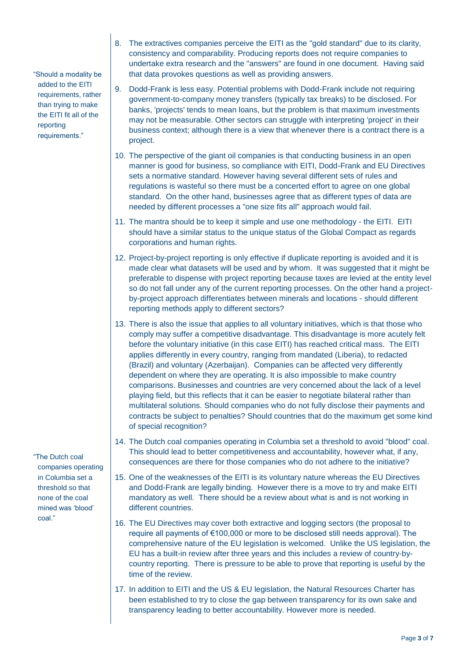"Should a modality be added to the EITI requirements, rather than trying to make the EITI fit all of the reporting requirements."

"The Dutch coal companies operating in Columbia set a threshold so that none of the coal mined was 'blood' coal."

- 8. The extractives companies perceive the EITI as the "gold standard" due to its clarity, consistency and comparability. Producing reports does not require companies to undertake extra research and the "answers" are found in one document. Having said that data provokes questions as well as providing answers.
- 9. Dodd-Frank is less easy. Potential problems with Dodd-Frank include not requiring government-to-company money transfers (typically tax breaks) to be disclosed. For banks, 'projects' tends to mean loans, but the problem is that maximum investments may not be measurable. Other sectors can struggle with interpreting 'project' in their business context; although there is a view that whenever there is a contract there is a project.
- 10. The perspective of the giant oil companies is that conducting business in an open manner is good for business, so compliance with EITI, Dodd-Frank and EU Directives sets a normative standard. However having several different sets of rules and regulations is wasteful so there must be a concerted effort to agree on one global standard. On the other hand, businesses agree that as different types of data are needed by different processes a "one size fits all" approach would fail.
- 11. The mantra should be to keep it simple and use one methodology the EITI. EITI should have a similar status to the unique status of the Global Compact as regards corporations and human rights.
- 12. Project-by-project reporting is only effective if duplicate reporting is avoided and it is made clear what datasets will be used and by whom. It was suggested that it might be preferable to dispense with project reporting because taxes are levied at the entity level so do not fall under any of the current reporting processes. On the other hand a projectby-project approach differentiates between minerals and locations - should different reporting methods apply to different sectors?
- 13. There is also the issue that applies to all voluntary initiatives, which is that those who comply may suffer a competitive disadvantage. This disadvantage is more acutely felt before the voluntary initiative (in this case EITI) has reached critical mass. The EITI applies differently in every country, ranging from mandated (Liberia), to redacted (Brazil) and voluntary (Azerbaijan). Companies can be affected very differently dependent on where they are operating. It is also impossible to make country comparisons. Businesses and countries are very concerned about the lack of a level playing field, but this reflects that it can be easier to negotiate bilateral rather than multilateral solutions. Should companies who do not fully disclose their payments and contracts be subject to penalties? Should countries that do the maximum get some kind of special recognition?
- 14. The Dutch coal companies operating in Columbia set a threshold to avoid "blood" coal. This should lead to better competitiveness and accountability, however what, if any, consequences are there for those companies who do not adhere to the initiative?
- 15. One of the weaknesses of the EITI is its voluntary nature whereas the EU Directives and Dodd-Frank are legally binding. However there is a move to try and make EITI mandatory as well. There should be a review about what is and is not working in different countries.
- 16. The EU Directives may cover both extractive and logging sectors (the proposal to require all payments of €100,000 or more to be disclosed still needs approval). The comprehensive nature of the EU legislation is welcomed. Unlike the US legislation, the EU has a built-in review after three years and this includes a review of country-bycountry reporting. There is pressure to be able to prove that reporting is useful by the time of the review.
- 17. In addition to EITI and the US & EU legislation, the Natural Resources Charter has been established to try to close the gap between transparency for its own sake and transparency leading to better accountability. However more is needed.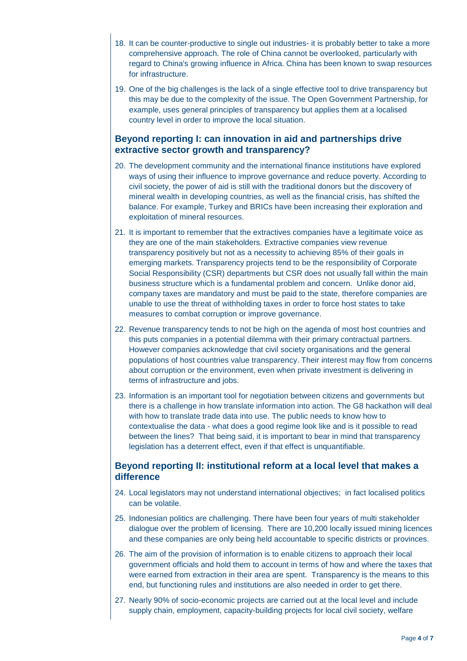- 18. It can be counter-productive to single out industries- it is probably better to take a more comprehensive approach. The role of China cannot be overlooked, particularly with regard to China's growing influence in Africa. China has been known to swap resources for infrastructure.
- 19. One of the big challenges is the lack of a single effective tool to drive transparency but this may be due to the complexity of the issue. The Open Government Partnership, for example, uses general principles of transparency but applies them at a localised country level in order to improve the local situation.

#### **Beyond reporting I: can innovation in aid and partnerships drive extractive sector growth and transparency?**

- 20. The development community and the international finance institutions have explored ways of using their influence to improve governance and reduce poverty. According to civil society, the power of aid is still with the traditional donors but the discovery of mineral wealth in developing countries, as well as the financial crisis, has shifted the balance. For example, Turkey and BRICs have been increasing their exploration and exploitation of mineral resources.
- 21. It is important to remember that the extractives companies have a legitimate voice as they are one of the main stakeholders. Extractive companies view revenue transparency positively but not as a necessity to achieving 85% of their goals in emerging markets. Transparency projects tend to be the responsibility of Corporate Social Responsibility (CSR) departments but CSR does not usually fall within the main business structure which is a fundamental problem and concern. Unlike donor aid, company taxes are mandatory and must be paid to the state, therefore companies are unable to use the threat of withholding taxes in order to force host states to take measures to combat corruption or improve governance.
- 22. Revenue transparency tends to not be high on the agenda of most host countries and this puts companies in a potential dilemma with their primary contractual partners. However companies acknowledge that civil society organisations and the general populations of host countries value transparency. Their interest may flow from concerns about corruption or the environment, even when private investment is delivering in terms of infrastructure and jobs.
- 23. Information is an important tool for negotiation between citizens and governments but there is a challenge in how translate information into action. The G8 hackathon will deal with how to translate trade data into use. The public needs to know how to contextualise the data - what does a good regime look like and is it possible to read between the lines? That being said, it is important to bear in mind that transparency legislation has a deterrent effect, even if that effect is unquantifiable.

#### **Beyond reporting II: institutional reform at a local level that makes a difference**

- 24. Local legislators may not understand international objectives; in fact localised politics can be volatile.
- 25. Indonesian politics are challenging. There have been four years of multi stakeholder dialogue over the problem of licensing. There are 10,200 locally issued mining licences and these companies are only being held accountable to specific districts or provinces.
- 26. The aim of the provision of information is to enable citizens to approach their local government officials and hold them to account in terms of how and where the taxes that were earned from extraction in their area are spent. Transparency is the means to this end, but functioning rules and institutions are also needed in order to get there.
- 27. Nearly 90% of socio-economic projects are carried out at the local level and include supply chain, employment, capacity-building projects for local civil society, welfare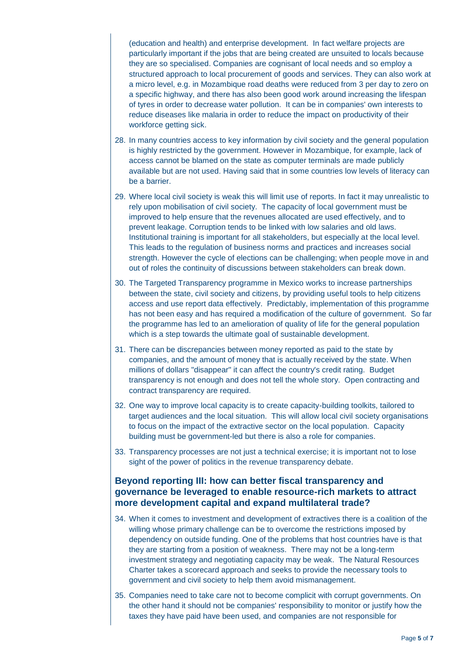(education and health) and enterprise development. In fact welfare projects are particularly important if the jobs that are being created are unsuited to locals because they are so specialised. Companies are cognisant of local needs and so employ a structured approach to local procurement of goods and services. They can also work at a micro level, e.g. in Mozambique road deaths were reduced from 3 per day to zero on a specific highway, and there has also been good work around increasing the lifespan of tyres in order to decrease water pollution. It can be in companies' own interests to reduce diseases like malaria in order to reduce the impact on productivity of their workforce getting sick.

- 28. In many countries access to key information by civil society and the general population is highly restricted by the government. However in Mozambique, for example, lack of access cannot be blamed on the state as computer terminals are made publicly available but are not used. Having said that in some countries low levels of literacy can be a barrier.
- 29. Where local civil society is weak this will limit use of reports. In fact it may unrealistic to rely upon mobilisation of civil society. The capacity of local government must be improved to help ensure that the revenues allocated are used effectively, and to prevent leakage. Corruption tends to be linked with low salaries and old laws. Institutional training is important for all stakeholders, but especially at the local level. This leads to the regulation of business norms and practices and increases social strength. However the cycle of elections can be challenging; when people move in and out of roles the continuity of discussions between stakeholders can break down.
- 30. The Targeted Transparency programme in Mexico works to increase partnerships between the state, civil society and citizens, by providing useful tools to help citizens access and use report data effectively. Predictably, implementation of this programme has not been easy and has required a modification of the culture of government. So far the programme has led to an amelioration of quality of life for the general population which is a step towards the ultimate goal of sustainable development.
- 31. There can be discrepancies between money reported as paid to the state by companies, and the amount of money that is actually received by the state. When millions of dollars "disappear" it can affect the country's credit rating. Budget transparency is not enough and does not tell the whole story. Open contracting and contract transparency are required.
- 32. One way to improve local capacity is to create capacity-building toolkits, tailored to target audiences and the local situation. This will allow local civil society organisations to focus on the impact of the extractive sector on the local population. Capacity building must be government-led but there is also a role for companies.
- 33. Transparency processes are not just a technical exercise; it is important not to lose sight of the power of politics in the revenue transparency debate.

#### **Beyond reporting III: how can better fiscal transparency and governance be leveraged to enable resource-rich markets to attract more development capital and expand multilateral trade?**

- 34. When it comes to investment and development of extractives there is a coalition of the willing whose primary challenge can be to overcome the restrictions imposed by dependency on outside funding. One of the problems that host countries have is that they are starting from a position of weakness. There may not be a long-term investment strategy and negotiating capacity may be weak. The Natural Resources Charter takes a scorecard approach and seeks to provide the necessary tools to government and civil society to help them avoid mismanagement.
- 35. Companies need to take care not to become complicit with corrupt governments. On the other hand it should not be companies' responsibility to monitor or justify how the taxes they have paid have been used, and companies are not responsible for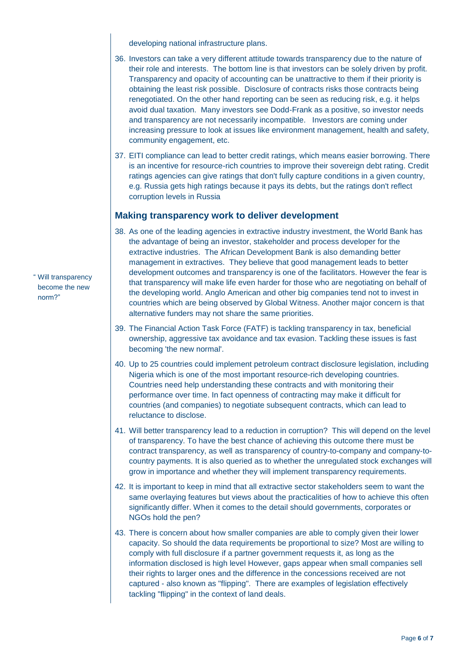developing national infrastructure plans.

- 36. Investors can take a very different attitude towards transparency due to the nature of their role and interests. The bottom line is that investors can be solely driven by profit. Transparency and opacity of accounting can be unattractive to them if their priority is obtaining the least risk possible. Disclosure of contracts risks those contracts being renegotiated. On the other hand reporting can be seen as reducing risk, e.g. it helps avoid dual taxation. Many investors see Dodd-Frank as a positive, so investor needs and transparency are not necessarily incompatible. Investors are coming under increasing pressure to look at issues like environment management, health and safety, community engagement, etc.
- 37. EITI compliance can lead to better credit ratings, which means easier borrowing. There is an incentive for resource-rich countries to improve their sovereign debt rating. Credit ratings agencies can give ratings that don't fully capture conditions in a given country, e.g. Russia gets high ratings because it pays its debts, but the ratings don't reflect corruption levels in Russia

#### **Making transparency work to deliver development**

- 38. As one of the leading agencies in extractive industry investment, the World Bank has the advantage of being an investor, stakeholder and process developer for the extractive industries. The African Development Bank is also demanding better management in extractives. They believe that good management leads to better development outcomes and transparency is one of the facilitators. However the fear is that transparency will make life even harder for those who are negotiating on behalf of the developing world. Anglo American and other big companies tend not to invest in countries which are being observed by Global Witness. Another major concern is that alternative funders may not share the same priorities.
- 39. The Financial Action Task Force (FATF) is tackling transparency in tax, beneficial ownership, aggressive tax avoidance and tax evasion. Tackling these issues is fast becoming 'the new normal'.
- 40. Up to 25 countries could implement petroleum contract disclosure legislation, including Nigeria which is one of the most important resource-rich developing countries. Countries need help understanding these contracts and with monitoring their performance over time. In fact openness of contracting may make it difficult for countries (and companies) to negotiate subsequent contracts, which can lead to reluctance to disclose.
- 41. Will better transparency lead to a reduction in corruption? This will depend on the level of transparency. To have the best chance of achieving this outcome there must be contract transparency, as well as transparency of country-to-company and company-tocountry payments. It is also queried as to whether the unregulated stock exchanges will grow in importance and whether they will implement transparency requirements.
- 42. It is important to keep in mind that all extractive sector stakeholders seem to want the same overlaying features but views about the practicalities of how to achieve this often significantly differ. When it comes to the detail should governments, corporates or NGOs hold the pen?
- 43. There is concern about how smaller companies are able to comply given their lower capacity. So should the data requirements be proportional to size? Most are willing to comply with full disclosure if a partner government requests it, as long as the information disclosed is high level However, gaps appear when small companies sell their rights to larger ones and the difference in the concessions received are not captured - also known as "flipping". There are examples of legislation effectively tackling "flipping" in the context of land deals.

" Will transparency become the new norm?"